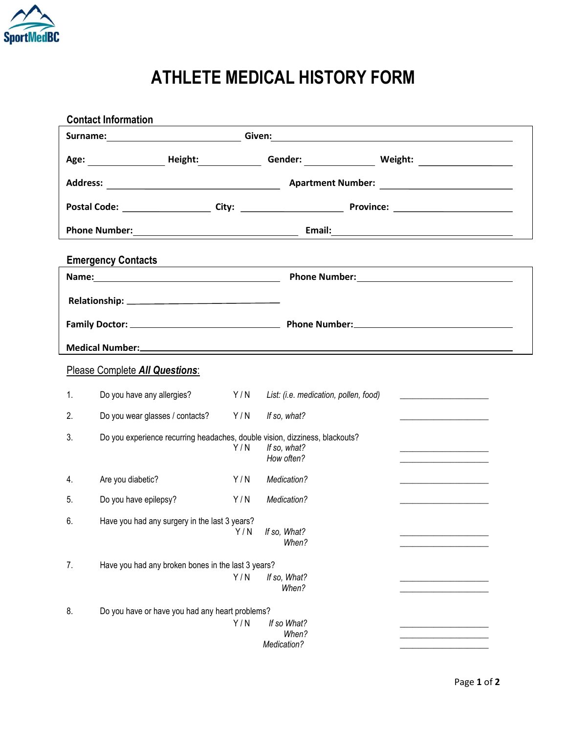

## **ATHLETE MEDICAL HISTORY FORM**

| <b>Contact Information</b><br>and the control of the control of the control of the control of the control of the control of the control of the                                                                                       |                                                                             |     |                                       |                                                         |  |  |  |
|--------------------------------------------------------------------------------------------------------------------------------------------------------------------------------------------------------------------------------------|-----------------------------------------------------------------------------|-----|---------------------------------------|---------------------------------------------------------|--|--|--|
| Surname: <u>Contract Communications and Communications and Communications are contracted by the Communications of the Communications and Communications and Communications are contracted by the Communications and Communicatio</u> |                                                                             |     |                                       |                                                         |  |  |  |
|                                                                                                                                                                                                                                      |                                                                             |     |                                       | Gender: _________________ Weight: _____________________ |  |  |  |
|                                                                                                                                                                                                                                      |                                                                             |     |                                       |                                                         |  |  |  |
|                                                                                                                                                                                                                                      |                                                                             |     |                                       |                                                         |  |  |  |
| <b>Phone Number:</b><br><u> 1980 - Johann Barn, fransk politik (d. 1980)</u>                                                                                                                                                         |                                                                             |     |                                       |                                                         |  |  |  |
| <b>Emergency Contacts</b>                                                                                                                                                                                                            |                                                                             |     |                                       |                                                         |  |  |  |
|                                                                                                                                                                                                                                      |                                                                             |     |                                       |                                                         |  |  |  |
|                                                                                                                                                                                                                                      |                                                                             |     |                                       |                                                         |  |  |  |
|                                                                                                                                                                                                                                      |                                                                             |     |                                       |                                                         |  |  |  |
| Medical Number: <u>and the community of the community of the community of the community of the community of the community of the community of the community of the community of the community of the community of the community </u> |                                                                             |     |                                       |                                                         |  |  |  |
| Please Complete All Questions:                                                                                                                                                                                                       |                                                                             |     |                                       |                                                         |  |  |  |
| 1.                                                                                                                                                                                                                                   | Do you have any allergies?                                                  | Y/N | List: (i.e. medication, pollen, food) |                                                         |  |  |  |
| 2.                                                                                                                                                                                                                                   | Do you wear glasses / contacts?                                             | Y/N | If so, what?                          |                                                         |  |  |  |
| 3.                                                                                                                                                                                                                                   | Do you experience recurring headaches, double vision, dizziness, blackouts? | Y/N | If so, what?<br>How often?            |                                                         |  |  |  |
| 4.                                                                                                                                                                                                                                   | Are you diabetic?                                                           | Y/N | Medication?                           |                                                         |  |  |  |
| 5.                                                                                                                                                                                                                                   | Do you have epilepsy?                                                       | Y/N | Medication?                           |                                                         |  |  |  |
| 6.                                                                                                                                                                                                                                   | Have you had any surgery in the last 3 years?                               |     | Y/N If so, What?<br>When?             |                                                         |  |  |  |
| 7.                                                                                                                                                                                                                                   | Have you had any broken bones in the last 3 years?                          |     |                                       |                                                         |  |  |  |
|                                                                                                                                                                                                                                      |                                                                             | Y/N | If so, What?<br>When?                 |                                                         |  |  |  |
| 8.                                                                                                                                                                                                                                   | Do you have or have you had any heart problems?                             |     |                                       |                                                         |  |  |  |
|                                                                                                                                                                                                                                      |                                                                             | Y/N | If so What?<br>When?<br>Medication?   |                                                         |  |  |  |